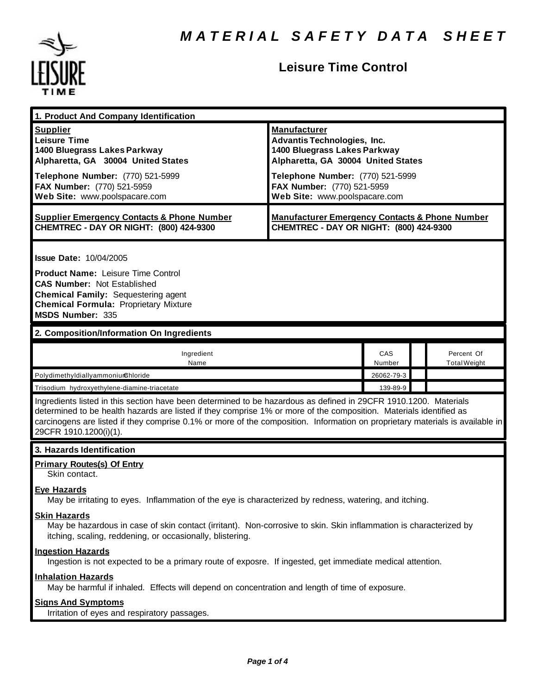

| 1. Product And Company Identification                                                                                                                                                                                                                                                                                                                                                             |                                                                                                                                                                                                                                    |               |                                   |
|---------------------------------------------------------------------------------------------------------------------------------------------------------------------------------------------------------------------------------------------------------------------------------------------------------------------------------------------------------------------------------------------------|------------------------------------------------------------------------------------------------------------------------------------------------------------------------------------------------------------------------------------|---------------|-----------------------------------|
| <b>Supplier</b><br><b>Leisure Time</b><br>1400 Bluegrass Lakes Parkway<br>Alpharetta, GA 30004 United States<br>Telephone Number: (770) 521-5999<br>FAX Number: (770) 521-5959<br>Web Site: www.poolspacare.com                                                                                                                                                                                   | <b>Manufacturer</b><br><b>Advantis Technologies, Inc.</b><br>1400 Bluegrass Lakes Parkway<br>Alpharetta, GA 30004 United States<br>Telephone Number: (770) 521-5999<br>FAX Number: (770) 521-5959<br>Web Site: www.poolspacare.com |               |                                   |
| <b>Supplier Emergency Contacts &amp; Phone Number</b><br>CHEMTREC - DAY OR NIGHT: (800) 424-9300                                                                                                                                                                                                                                                                                                  | <b>Manufacturer Emergency Contacts &amp; Phone Number</b><br>CHEMTREC - DAY OR NIGHT: (800) 424-9300                                                                                                                               |               |                                   |
| <b>Issue Date: 10/04/2005</b><br><b>Product Name: Leisure Time Control</b><br><b>CAS Number: Not Established</b><br><b>Chemical Family: Sequestering agent</b><br><b>Chemical Formula: Proprietary Mixture</b><br>MSDS Number: 335                                                                                                                                                                |                                                                                                                                                                                                                                    |               |                                   |
| 2. Composition/Information On Ingredients                                                                                                                                                                                                                                                                                                                                                         |                                                                                                                                                                                                                                    |               |                                   |
| Ingredient<br>Name                                                                                                                                                                                                                                                                                                                                                                                |                                                                                                                                                                                                                                    | CAS<br>Number | Percent Of<br><b>Total Weight</b> |
| PolydimethyldiallyammoniumGhloride                                                                                                                                                                                                                                                                                                                                                                |                                                                                                                                                                                                                                    | 26062-79-3    |                                   |
| Trisodium hydroxyethylene-diamine-triacetate                                                                                                                                                                                                                                                                                                                                                      |                                                                                                                                                                                                                                    | 139-89-9      |                                   |
| Ingredients listed in this section have been determined to be hazardous as defined in 29CFR 1910.1200. Materials<br>determined to be health hazards are listed if they comprise 1% or more of the composition. Materials identified as<br>carcinogens are listed if they comprise 0.1% or more of the composition. Information on proprietary materials is available in<br>29CFR 1910.1200(i)(1). |                                                                                                                                                                                                                                    |               |                                   |
| 3. Hazards Identification                                                                                                                                                                                                                                                                                                                                                                         |                                                                                                                                                                                                                                    |               |                                   |
| <b>Primary Routes(s) Of Entry</b><br>Skin contact.<br><b>Eye Hazards</b><br>May be irritating to eyes. Inflammation of the eye is characterized by redness, watering, and itching.                                                                                                                                                                                                                |                                                                                                                                                                                                                                    |               |                                   |
| <b>Skin Hazards</b><br>May be hazardous in case of skin contact (irritant). Non-corrosive to skin. Skin inflammation is characterized by<br>itching, scaling, reddening, or occasionally, blistering.                                                                                                                                                                                             |                                                                                                                                                                                                                                    |               |                                   |
| <b>Ingestion Hazards</b><br>Ingestion is not expected to be a primary route of exposre. If ingested, get immediate medical attention.                                                                                                                                                                                                                                                             |                                                                                                                                                                                                                                    |               |                                   |
| <b>Inhalation Hazards</b><br>May be harmful if inhaled. Effects will depend on concentration and length of time of exposure.                                                                                                                                                                                                                                                                      |                                                                                                                                                                                                                                    |               |                                   |
| <b>Signs And Symptoms</b><br>Irritation of eyes and respiratory passages.                                                                                                                                                                                                                                                                                                                         |                                                                                                                                                                                                                                    |               |                                   |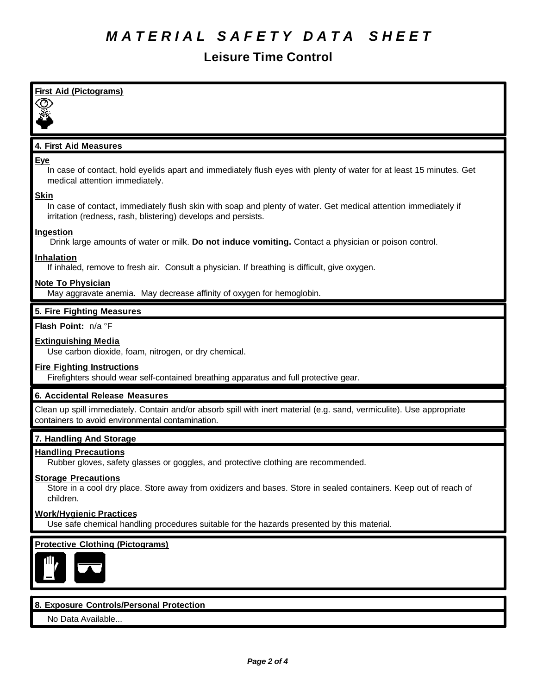# *M A T E R I A L S A F E T Y D A T A S H E E T*

| <b>First Aid (Pictograms)</b>                                                                                                                                                                  |
|------------------------------------------------------------------------------------------------------------------------------------------------------------------------------------------------|
|                                                                                                                                                                                                |
| 4. First Aid Measures                                                                                                                                                                          |
| Eye<br>In case of contact, hold eyelids apart and immediately flush eyes with plenty of water for at least 15 minutes. Get<br>medical attention immediately.                                   |
| <b>Skin</b><br>In case of contact, immediately flush skin with soap and plenty of water. Get medical attention immediately if<br>irritation (redness, rash, blistering) develops and persists. |
| <b>Ingestion</b><br>Drink large amounts of water or milk. Do not induce vomiting. Contact a physician or poison control.                                                                       |
| <b>Inhalation</b><br>If inhaled, remove to fresh air. Consult a physician. If breathing is difficult, give oxygen.                                                                             |
| <b>Note To Physician</b><br>May aggravate anemia. May decrease affinity of oxygen for hemoglobin.                                                                                              |
| 5. Fire Fighting Measures                                                                                                                                                                      |
| Flash Point: n/a °F                                                                                                                                                                            |
| <b>Extinguishing Media</b><br>Use carbon dioxide, foam, nitrogen, or dry chemical.                                                                                                             |
| <b>Fire Fighting Instructions</b><br>Firefighters should wear self-contained breathing apparatus and full protective gear.                                                                     |
| 6. Accidental Release Measures                                                                                                                                                                 |
| Clean up spill immediately. Contain and/or absorb spill with inert material (e.g. sand, vermiculite). Use appropriate<br>containers to avoid environmental contamination.                      |
| 7. Handling And Storage                                                                                                                                                                        |
| <b>Handling Precautions</b><br>Rubber gloves, safety glasses or goggles, and protective clothing are recommended.                                                                              |
| <b>Storage Precautions</b><br>Store in a cool dry place. Store away from oxidizers and bases. Store in sealed containers. Keep out of reach of<br>children.                                    |
| <b>Work/Hygienic Practices</b><br>Use safe chemical handling procedures suitable for the hazards presented by this material.                                                                   |
| <b>Protective Clothing (Pictograms)</b>                                                                                                                                                        |
| 8. Exposure Controls/Personal Protection<br>No Data Available                                                                                                                                  |
|                                                                                                                                                                                                |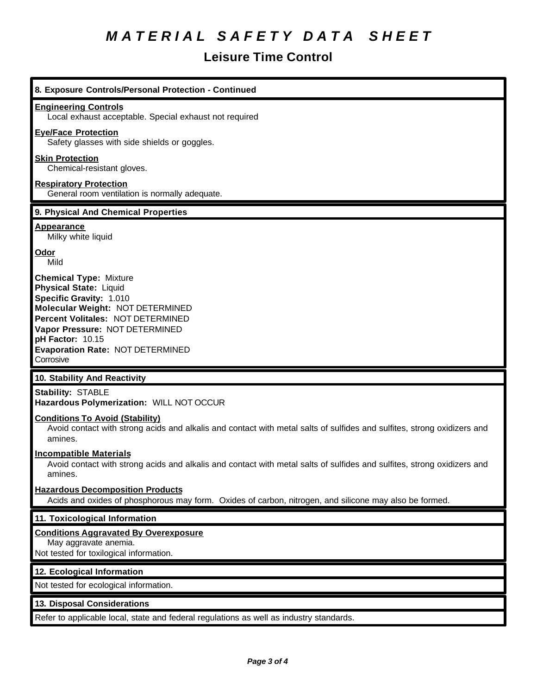# *M A T E R I A L S A F E T Y D A T A S H E E T*

| 8. Exposure Controls/Personal Protection - Continued                                                                                                                                                                                                                             |
|----------------------------------------------------------------------------------------------------------------------------------------------------------------------------------------------------------------------------------------------------------------------------------|
| <b>Engineering Controls</b><br>Local exhaust acceptable. Special exhaust not required                                                                                                                                                                                            |
| <b>Eye/Face Protection</b><br>Safety glasses with side shields or goggles.                                                                                                                                                                                                       |
| <b>Skin Protection</b><br>Chemical-resistant gloves.                                                                                                                                                                                                                             |
| <b>Respiratory Protection</b><br>General room ventilation is normally adequate.                                                                                                                                                                                                  |
| 9. Physical And Chemical Properties                                                                                                                                                                                                                                              |
| <b>Appearance</b><br>Milky white liquid                                                                                                                                                                                                                                          |
| <u>Odor</u><br>Mild                                                                                                                                                                                                                                                              |
| <b>Chemical Type: Mixture</b><br><b>Physical State: Liquid</b><br>Specific Gravity: 1.010<br>Molecular Weight: NOT DETERMINED<br>Percent Volitales: NOT DETERMINED<br>Vapor Pressure: NOT DETERMINED<br>pH Factor: 10.15<br><b>Evaporation Rate: NOT DETERMINED</b><br>Corrosive |
|                                                                                                                                                                                                                                                                                  |
| 10. Stability And Reactivity                                                                                                                                                                                                                                                     |
| <b>Stability: STABLE</b><br>Hazardous Polymerization: WILL NOT OCCUR                                                                                                                                                                                                             |
| <b>Conditions To Avoid (Stability)</b><br>Avoid contact with strong acids and alkalis and contact with metal salts of sulfides and sulfites, strong oxidizers and<br>amines.                                                                                                     |
| <b>Incompatible Materials</b><br>Avoid contact with strong acids and alkalis and contact with metal salts of sulfides and sulfites, strong oxidizers and<br>amines.                                                                                                              |
| <b>Hazardous Decomposition Products</b><br>Acids and oxides of phosphorous may form. Oxides of carbon, nitrogen, and silicone may also be formed.                                                                                                                                |
| 11. Toxicological Information                                                                                                                                                                                                                                                    |
| <b>Conditions Aggravated By Overexposure</b><br>May aggravate anemia.<br>Not tested for toxilogical information.                                                                                                                                                                 |
| 12. Ecological Information                                                                                                                                                                                                                                                       |
| Not tested for ecological information.                                                                                                                                                                                                                                           |
| 13. Disposal Considerations                                                                                                                                                                                                                                                      |
| Refer to applicable local, state and federal regulations as well as industry standards.                                                                                                                                                                                          |